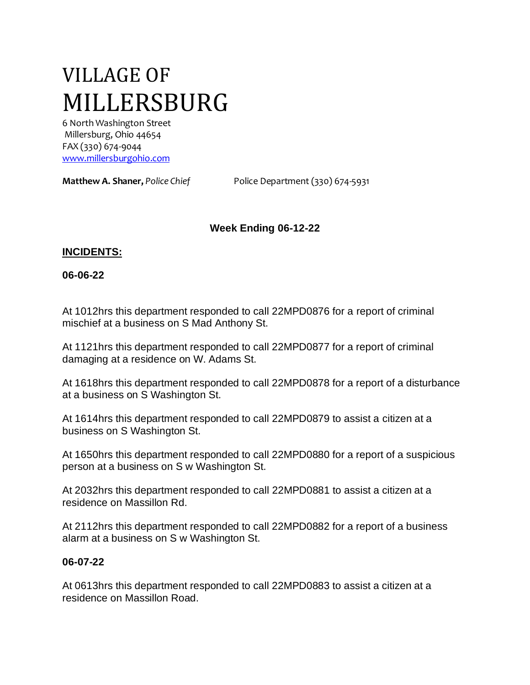# VILLAGE OF MILLERSBURG

6 North Washington Street Millersburg, Ohio 44654 FAX (330) 674-9044 [www.millersburgohio.com](http://www.millersburgohio.com/)

**Matthew A. Shaner,** *Police Chief* Police Department (330) 674-5931

## **Week Ending 06-12-22**

#### **INCIDENTS:**

#### **06-06-22**

At 1012hrs this department responded to call 22MPD0876 for a report of criminal mischief at a business on S Mad Anthony St.

At 1121hrs this department responded to call 22MPD0877 for a report of criminal damaging at a residence on W. Adams St.

At 1618hrs this department responded to call 22MPD0878 for a report of a disturbance at a business on S Washington St.

At 1614hrs this department responded to call 22MPD0879 to assist a citizen at a business on S Washington St.

At 1650hrs this department responded to call 22MPD0880 for a report of a suspicious person at a business on S w Washington St.

At 2032hrs this department responded to call 22MPD0881 to assist a citizen at a residence on Massillon Rd.

At 2112hrs this department responded to call 22MPD0882 for a report of a business alarm at a business on S w Washington St.

#### **06-07-22**

At 0613hrs this department responded to call 22MPD0883 to assist a citizen at a residence on Massillon Road.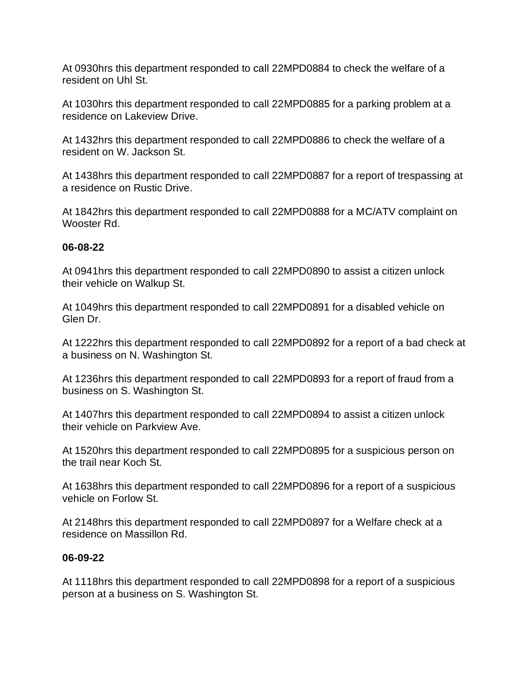At 0930hrs this department responded to call 22MPD0884 to check the welfare of a resident on Uhl St.

At 1030hrs this department responded to call 22MPD0885 for a parking problem at a residence on Lakeview Drive.

At 1432hrs this department responded to call 22MPD0886 to check the welfare of a resident on W. Jackson St.

At 1438hrs this department responded to call 22MPD0887 for a report of trespassing at a residence on Rustic Drive.

At 1842hrs this department responded to call 22MPD0888 for a MC/ATV complaint on Wooster Rd.

## **06-08-22**

At 0941hrs this department responded to call 22MPD0890 to assist a citizen unlock their vehicle on Walkup St.

At 1049hrs this department responded to call 22MPD0891 for a disabled vehicle on Glen Dr.

At 1222hrs this department responded to call 22MPD0892 for a report of a bad check at a business on N. Washington St.

At 1236hrs this department responded to call 22MPD0893 for a report of fraud from a business on S. Washington St.

At 1407hrs this department responded to call 22MPD0894 to assist a citizen unlock their vehicle on Parkview Ave.

At 1520hrs this department responded to call 22MPD0895 for a suspicious person on the trail near Koch St.

At 1638hrs this department responded to call 22MPD0896 for a report of a suspicious vehicle on Forlow St.

At 2148hrs this department responded to call 22MPD0897 for a Welfare check at a residence on Massillon Rd.

## **06-09-22**

At 1118hrs this department responded to call 22MPD0898 for a report of a suspicious person at a business on S. Washington St.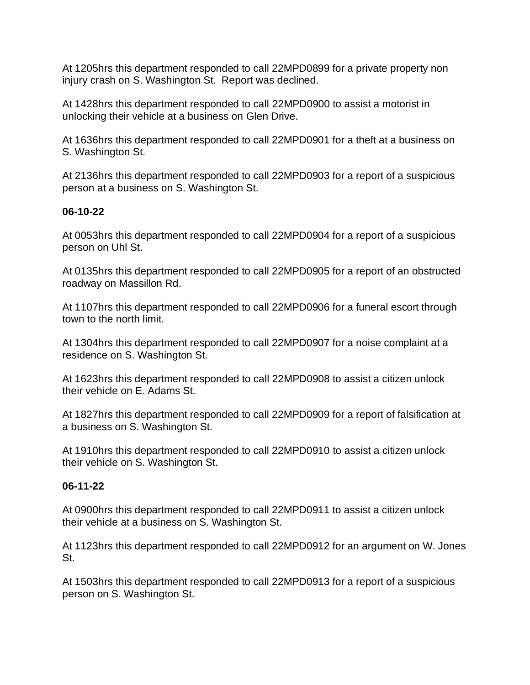At 1205hrs this department responded to call 22MPD0899 for a private property non injury crash on S. Washington St. Report was declined.

At 1428hrs this department responded to call 22MPD0900 to assist a motorist in unlocking their vehicle at a business on Glen Drive.

At 1636hrs this department responded to call 22MPD0901 for a theft at a business on S. Washington St.

At 2136hrs this department responded to call 22MPD0903 for a report of a suspicious person at a business on S. Washington St.

## **06-10-22**

At 0053hrs this department responded to call 22MPD0904 for a report of a suspicious person on Uhl St.

At 0135hrs this department responded to call 22MPD0905 for a report of an obstructed roadway on Massillon Rd.

At 1107hrs this department responded to call 22MPD0906 for a funeral escort through town to the north limit.

At 1304hrs this department responded to call 22MPD0907 for a noise complaint at a residence on S. Washington St.

At 1623hrs this department responded to call 22MPD0908 to assist a citizen unlock their vehicle on E. Adams St.

At 1827hrs this department responded to call 22MPD0909 for a report of falsification at a business on S. Washington St.

At 1910hrs this department responded to call 22MPD0910 to assist a citizen unlock their vehicle on S. Washington St.

## **06-11-22**

At 0900hrs this department responded to call 22MPD0911 to assist a citizen unlock their vehicle at a business on S. Washington St.

At 1123hrs this department responded to call 22MPD0912 for an argument on W. Jones St.

At 1503hrs this department responded to call 22MPD0913 for a report of a suspicious person on S. Washington St.